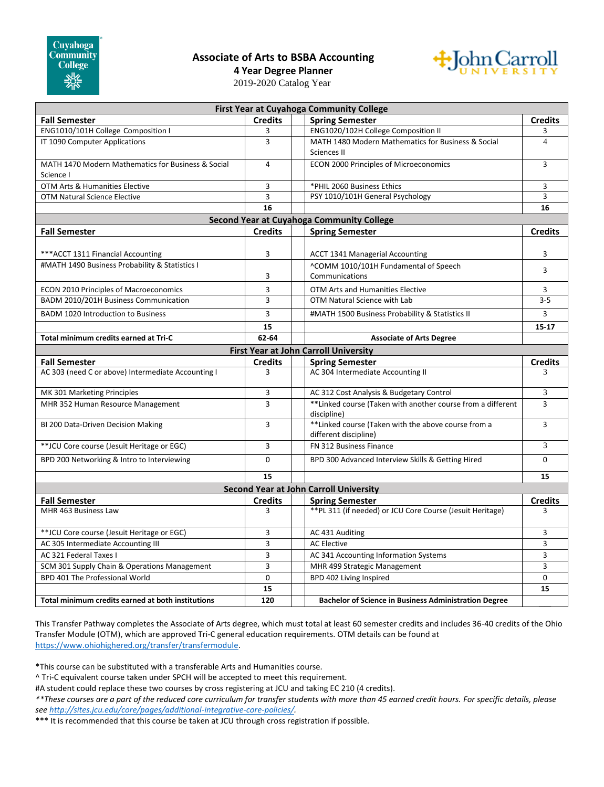## **Associate of Arts to BSBA Accounting**



**4 Year Degree Planner**

2019-2020 Catalog Year

| <b>First Year at Cuyahoga Community College</b>                                      |                |  |                                                                                 |                          |
|--------------------------------------------------------------------------------------|----------------|--|---------------------------------------------------------------------------------|--------------------------|
| <b>Fall Semester</b>                                                                 | <b>Credits</b> |  | <b>Spring Semester</b>                                                          | <b>Credits</b>           |
| ENG1010/101H College Composition I                                                   | 3              |  | ENG1020/102H College Composition II                                             | 3                        |
| IT 1090 Computer Applications                                                        | 3              |  | MATH 1480 Modern Mathematics for Business & Social<br>Sciences II               | $\overline{\mathcal{A}}$ |
| MATH 1470 Modern Mathematics for Business & Social<br>Science I                      | $\overline{4}$ |  | ECON 2000 Principles of Microeconomics                                          | 3                        |
| OTM Arts & Humanities Elective                                                       | 3              |  | *PHIL 2060 Business Ethics                                                      | 3                        |
| OTM Natural Science Elective                                                         | 3              |  | PSY 1010/101H General Psychology                                                | 3                        |
|                                                                                      | 16             |  |                                                                                 | 16                       |
| Second Year at Cuyahoga Community College                                            |                |  |                                                                                 |                          |
| <b>Fall Semester</b>                                                                 | <b>Credits</b> |  | <b>Spring Semester</b>                                                          | <b>Credits</b>           |
| *** ACCT 1311 Financial Accounting<br>#MATH 1490 Business Probability & Statistics I | 3              |  | <b>ACCT 1341 Managerial Accounting</b><br>^COMM 1010/101H Fundamental of Speech | 3<br>3                   |
|                                                                                      | 3              |  | Communications                                                                  |                          |
| <b>ECON 2010 Principles of Macroeconomics</b>                                        | 3              |  | OTM Arts and Humanities Elective                                                | 3                        |
| BADM 2010/201H Business Communication                                                | 3              |  | OTM Natural Science with Lab                                                    | $3 - 5$                  |
| <b>BADM 1020 Introduction to Business</b>                                            | 3              |  | #MATH 1500 Business Probability & Statistics II                                 | 3                        |
|                                                                                      | 15             |  |                                                                                 | $15 - 17$                |
| Total minimum credits earned at Tri-C                                                | 62-64          |  | <b>Associate of Arts Degree</b>                                                 |                          |
| <b>First Year at John Carroll University</b>                                         |                |  |                                                                                 |                          |
| <b>Fall Semester</b>                                                                 | <b>Credits</b> |  | <b>Spring Semester</b>                                                          | <b>Credits</b>           |
| AC 303 (need C or above) Intermediate Accounting I                                   | 3              |  | AC 304 Intermediate Accounting II                                               | 3                        |
| MK 301 Marketing Principles                                                          | 3              |  | AC 312 Cost Analysis & Budgetary Control                                        | 3                        |
| MHR 352 Human Resource Management                                                    | 3              |  | ** Linked course (Taken with another course from a different<br>discipline)     | 3                        |
| BI 200 Data-Driven Decision Making                                                   | $\overline{3}$ |  | ** Linked course (Taken with the above course from a<br>different discipline)   | 3                        |
| ** JCU Core course (Jesuit Heritage or EGC)                                          | 3              |  | FN 312 Business Finance                                                         | 3                        |
| BPD 200 Networking & Intro to Interviewing                                           | $\Omega$       |  | BPD 300 Advanced Interview Skills & Getting Hired                               | $\Omega$                 |
|                                                                                      | 15             |  |                                                                                 | 15                       |
|                                                                                      |                |  | <b>Second Year at John Carroll University</b>                                   |                          |
| <b>Fall Semester</b>                                                                 | <b>Credits</b> |  | <b>Spring Semester</b>                                                          | <b>Credits</b>           |
| MHR 463 Business Law                                                                 | 3              |  | ** PL 311 (if needed) or JCU Core Course (Jesuit Heritage)                      | 3                        |
| ** JCU Core course (Jesuit Heritage or EGC)                                          | 3              |  | AC 431 Auditing                                                                 | 3                        |
| AC 305 Intermediate Accounting III                                                   | 3              |  | <b>AC Elective</b>                                                              | 3                        |
|                                                                                      |                |  |                                                                                 |                          |
| AC 321 Federal Taxes I                                                               | 3              |  | AC 341 Accounting Information Systems                                           | 3                        |
| SCM 301 Supply Chain & Operations Management                                         | 3              |  | MHR 499 Strategic Management                                                    | 3                        |
| BPD 401 The Professional World                                                       | 0              |  | BPD 402 Living Inspired                                                         | $\mathbf 0$              |
| Total minimum credits earned at both institutions                                    | 15<br>120      |  | <b>Bachelor of Science in Business Administration Degree</b>                    | 15                       |

This Transfer Pathway completes the Associate of Arts degree, which must total at least 60 semester credits and includes 36-40 credits of the Ohio Transfer Module (OTM), which are approved Tri-C general education requirements. OTM details can be found at [https://www.ohiohighered.org/transfer/transfermodule.](https://www.ohiohighered.org/transfer/transfermodule)

\*This course can be substituted with a transferable Arts and Humanities course.

^ Tri-C equivalent course taken under SPCH will be accepted to meet this requirement.

#A student could replace these two courses by cross registering at JCU and taking EC 210 (4 credits).

*\*\*These courses are a part of the reduced core curriculum for transfer students with more than 45 earned credit hours. For specific details, please se[e http://sites.jcu.edu/core/pages/additional-integrative-core-policies/.](http://sites.jcu.edu/core/pages/additional-integrative-core-policies/)*

\*\*\* It is recommended that this course be taken at JCU through cross registration if possible.